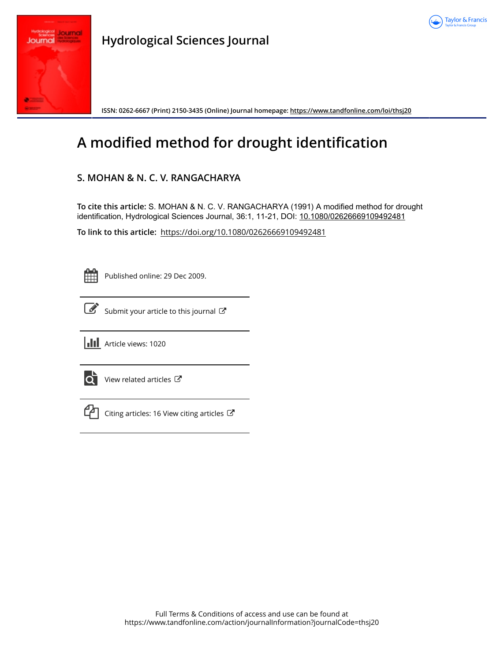



**ISSN: 0262-6667 (Print) 2150-3435 (Online) Journal homepage:<https://www.tandfonline.com/loi/thsj20>**

# **A modified method for drought identification**

## **S. MOHAN & N. C. V. RANGACHARYA**

**To cite this article:** S. MOHAN & N. C. V. RANGACHARYA (1991) A modified method for drought identification, Hydrological Sciences Journal, 36:1, 11-21, DOI: [10.1080/02626669109492481](https://www.tandfonline.com/action/showCitFormats?doi=10.1080/02626669109492481)

**To link to this article:** <https://doi.org/10.1080/02626669109492481>

Published online: 29 Dec 2009.



[Submit your article to this journal](https://www.tandfonline.com/action/authorSubmission?journalCode=thsj20&show=instructions)  $\mathbb{Z}$ 



**III** Article views: 1020



 $\overrightarrow{Q}$  [View related articles](https://www.tandfonline.com/doi/mlt/10.1080/02626669109492481)  $\overrightarrow{C}$ 



 $\Box$  [Citing articles: 16 View citing articles](https://www.tandfonline.com/doi/citedby/10.1080/02626669109492481#tabModule)  $\Box$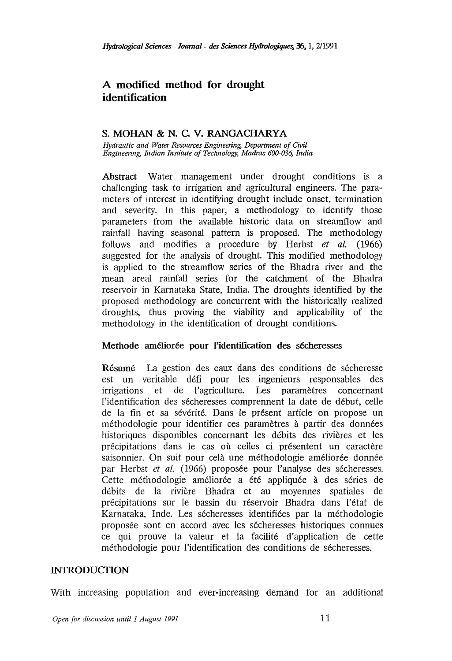### **A modified method for drought identification**

#### S. MOHAN & N. C. V. RANGACHARYA

*Hydraulic and Water Resources Engineering, Department of Civil Engineering, Indian Institute of Technology, Madras 600-036, India* 

Abstract Water management under drought conditions is a challenging task to irrigation and agricultural engineers. The parameters of interest in identifying drought include onset, termination and severity. In this paper, a methodology to identify those parameters from the available historic data on streamflow and rainfall having seasonal pattern is proposed. The methodology follows and modifies a procedure by Herbst *et al.* (1966) suggested for the analysis of drought. This modified methodology is applied to the streamflow series of the Bhadra river and the mean areal rainfall series for the catchment of the Bhadra reservoir in Karnataka State, India. The droughts identified by the proposed methodology are concurrent with the historically realized droughts, thus proving the viability and applicability of the methodology in the identification of drought conditions.

#### Méthode améliorée pour l'identification des sécheresses

Résumé La gestion des eaux dans des conditions de sécheresse est un veritable défi pour les ingénieurs responsables des irrigations et de l'agriculture. Les paramètres concernant l'identification des sécheresses comprennent la date de début, celle de la fin et sa sévérité. Dans le présent article on propose un méthodologie pour identifier ces paramètres à partir des données historiques disponibles concernant les débits des rivières et les précipitations dans le cas où celles ci présentent un caractère saisonnier. On suit pour cela une méthodologie améliorée donnée par Herbst *et al.* (1966) proposée pour l'analyse des sécheresses. Cette méthodologie améliorée a été appliquée à des séries de débits de la rivière Bhadra et au moyennes spatiales de précipitations sur le bassin du réservoir Bhadra dans l'état de Karnataka, Inde. Les sécheresses identifiées par la méthodologie proposée sont en accord avec les sécheresses historiques connues ce qui prouve la valeur et la facilité d'application de cette méthodologie pour l'identification des conditions de sécheresses.

#### INTRODUCTION

With increasing population and ever-increasing demand for an additional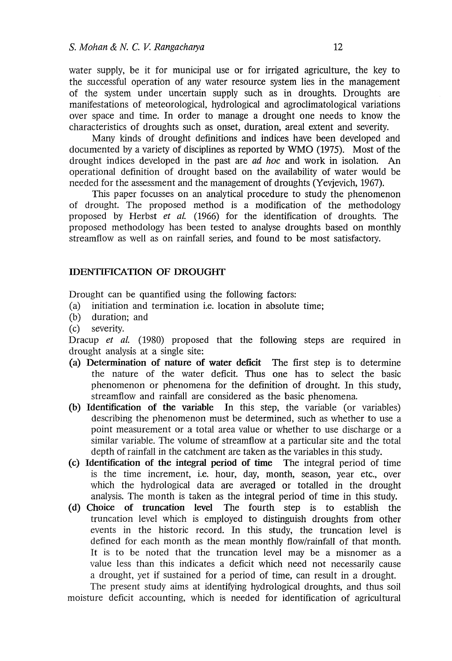water supply, be it for municipal use or for irrigated agriculture, the key to the successful operation of any water resource system lies in the management of the system under uncertain supply such as in droughts. Droughts are manifestations of meteorological, hydrological and agroclimatological variations over space and time. In order to manage a drought one needs to know the characteristics of droughts such as onset, duration, areal extent and severity.

Many kinds of drought definitions and indices have been developed and documented by a variety of disciplines as reported by WMO (1975). Most of the drought indices developed in the past are *ad hoc* and work in isolation. An operational definition of drought based on the availability of water would be needed for the assessment and the management of droughts (Yevjevich, 1967).

This paper focusses on an analytical procedure to study the phenomenon of drought. The proposed method is a modification of the methodology proposed by Herbst *et al.* (1966) for the identification of droughts. The proposed methodology has been tested to analyse droughts based on monthly streamflow as well as on rainfall series, and found to be most satisfactory.

#### **IDENTIFICATION OF DROUGHT**

Drought can be quantified using the following factors:

- (a) initiation and termination i.e. location in absolute time;
- (b) duration; and
- (c) severity.

Dracup *et al.* (1980) proposed that the following steps are required in drought analysis at a single site:

- **(a) Determination of nature of water deficit** The first step is to determine the nature of the water deficit. Thus one has to select the basic phenomenon or phenomena for the definition of drought. In this study, streamflow and rainfall are considered as the basic phenomena.
- (b) Identification **of the variable** In this step, the variable (or variables) describing the phenomenon must be determined, such as whether to use a point measurement or a total area value or whether to use discharge or a similar variable. The volume of streamflow at a particular site and the total depth of rainfall in the catchment are taken as the variables in this study.
- **(c) Identification of the integral period of time** The integral period of time is the time increment, i.e. hour, day, month, season, year etc., over which the hydrological data are averaged or totalled in the drought analysis. The month is taken as the integral period of time in this study.
- **(d) Choice of truncation level** The fourth step is to establish the truncation level which is employed to distinguish droughts from other events in the historic record. In this study, the truncation level is defined for each month as the mean monthly flow/rainfall of that month. It is to be noted that the truncation level may be a misnomer as a value less than this indicates a deficit which need not necessarily cause a drought, yet if sustained for a period of time, can result in a drought.

The present study aims at identifying hydrological droughts, and thus soil moisture deficit accounting, which is needed for identification of agricultural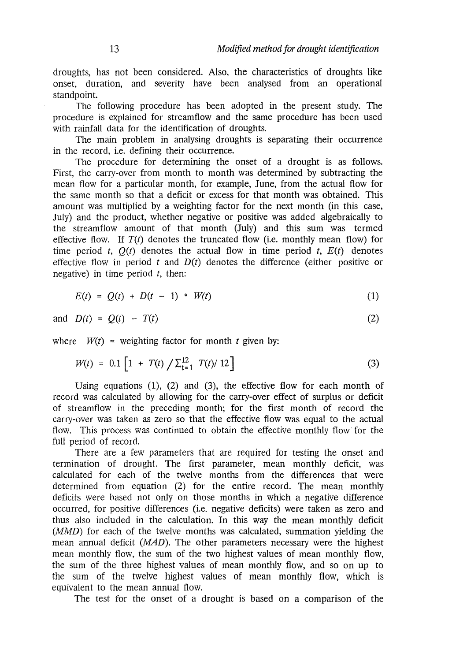droughts, has not been considered. Also, the characteristics of droughts like onset, duration, and severity have been analysed from an operational standpoint.

The following procedure has been adopted in the present study. The procedure is explained for streamflow and the same procedure has been used with rainfall data for the identification of droughts.

The main problem in analysing droughts is separating their occurrence in the record, i.e. defining their occurrence.

The procedure for determining the onset of a drought is as follows. First, the carry-over from month to month was determined by subtracting the mean flow for a particular month, for example, June, from the actual flow for the same month so that a deficit or excess for that month was obtained. This amount was multiplied by a weighting factor for the next month (in this case, July) and the product, whether negative or positive was added algebraically to the streamflow amount of that month (July) and this sum was termed effective flow. If  $T(t)$  denotes the truncated flow (i.e. monthly mean flow) for time period *t*,  $O(t)$  denotes the actual flow in time period *t*,  $E(t)$  denotes effective flow in period t and  $D(t)$  denotes the difference (either positive or negative) in time period *t,* then:

$$
E(t) = Q(t) + D(t - 1) * W(t)
$$
 (1)

and  $D(t) = Q(t) - T(t)$  (2)

where  $W(t)$  = weighting factor for month *t* given by:

$$
W(t) = 0.1 \left[ 1 + T(t) / \sum_{t=1}^{12} T(t) / 12 \right]
$$
 (3)

Using equations  $(1)$ ,  $(2)$  and  $(3)$ , the effective flow for each month of record was calculated by allowing for the carry-over effect of surplus or deficit of streamflow in the preceding month; for the first month of record the carry-over was taken as zero so that the effective flow was equal to the actual flow. This process was continued to obtain the effective monthly flow "for the full period of record.

There are a few parameters that are required for testing the onset and termination of drought. The first parameter, mean monthly deficit, was calculated for each of the twelve months from the differences that were determined from equation (2) for the entire record. The mean monthly deficits were based not only on those months in which a negative difference occurred, for positive differences (i.e. negative deficits) were taken as zero and thus also included in the calculation. In this way the mean monthly deficit *(MMD)* for each of the twelve months was calculated, summation yielding the mean annual deficit *(MAD).* The other parameters necessary were the highest mean monthly flow, the sum of the two highest values of mean monthly flow, the sum of the three highest values of mean monthly flow, and so on up to the sum of the twelve highest values of mean monthly flow, which is equivalent to the mean annual flow.

The test for the onset of a drought is based on a comparison of the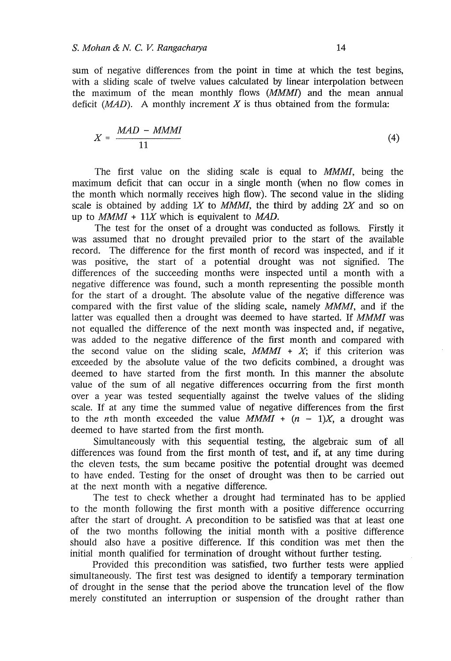sum of negative differences from the point in time at which the test begins, with a sliding scale of twelve values calculated by linear interpolation between the maximum of the mean monthly flows *(MMMI)* and the mean annual deficit *(MAD).* A monthly increment *X* is thus obtained from the formula:

$$
X = \frac{MAD - MMMI}{11} \tag{4}
$$

The first value on the sliding scale is equal to *MMMI,* being the maximum deficit that can occur in a single month (when no flow comes in the month which normally receives high flow). The second value in the sliding scale is obtained by adding *IX* to *MMMI,* the third by adding *2X* and so on up to *MMMI* + 11Z which is equivalent to *MAD.* 

The test for the onset of a drought was conducted as follows. Firstly it was assumed that no drought prevailed prior to the start of the available record. The difference for the first month of record was inspected, and if it was positive, the start of a potential drought was not signified. The differences of the succeeding months were inspected until a month with a negative difference was found, such a month representing the possible month for the start of a drought. The absolute value of the negative difference was compared with the first value of the sliding scale, namely *MMMI,* and if the latter was equalled then a drought was deemed to have started. If *MMMI* was not equalled the difference of the next month was inspected and, if negative, was added to the negative difference of the first month and compared with the second value on the sliding scale,  $MMMI + X$ ; if this criterion was exceeded by the absolute value of the two deficits combined, a drought was deemed to have started from the first month. In this manner the absolute value of the sum of all negative differences occurring from the first month over a year was tested sequentially against the twelve values of the sliding scale. If at any time the summed value of negative differences from the first to the *n*th month exceeded the value  $MMM + (n - 1)X$ , a drought was deemed to have started from the first month.

Simultaneously with this sequential testing, the algebraic sum of all differences was found from the first month of test, and if, at any time during the eleven tests, the sum became positive the potential drought was deemed to have ended. Testing for the onset of drought was then to be carried out at the next month with a negative difference.

The test to check whether a drought had terminated has to be applied to the month following the first month with a positive difference occurring after the start of drought. A precondition to be satisfied was that at least one of the two months following the initial month with a positive difference should also have a positive difference. If this condition was met then the initial month qualified for termination of drought without further testing.

Provided this precondition was satisfied, two further tests were applied simultaneously. The first test was designed to identify a temporary termination of drought in the sense that the period above the truncation level of the flow merely constituted an interruption or suspension of the drought rather than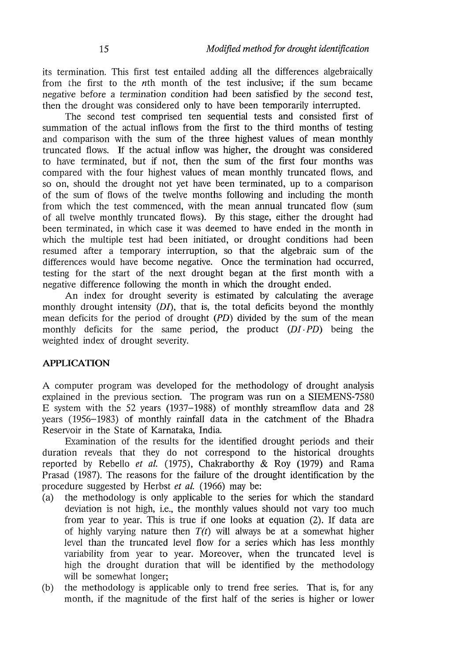its termination. This first test entailed adding all the differences algebraically from the first to the nth month of the test inclusive; if the sum became negative before a termination condition had been satisfied by the second test, then the drought was considered only to have been temporarily interrupted.

The second test comprised ten sequential tests and consisted first of summation of the actual inflows from the first to the third months of testing and comparison with the sum of the three highest values of mean monthly truncated flows. If the actual inflow was higher, the drought was considered to have terminated, but if not, then the sum of the first four months was compared with the four highest values of mean monthly truncated flows, and so on, should the drought not yet have been terminated, up to a comparison of the sum of flows of the twelve months following and including the month from which the test commenced, with the mean annual truncated flow (sum of all twelve monthly truncated flows). By this stage, either the drought had been terminated, in which case it was deemed to have ended in the month in which the multiple test had been initiated, or drought conditions had been resumed after a temporary interruption, so that the algebraic sum of the differences would have become negative. Once the termination had occurred, testing for the start of the next drought began at the first month with a negative difference following the month in which the drought ended.

An index for drought severity is estimated by calculating the average monthly drought intensity *(DT),* that is, the total deficits beyond the monthly mean deficits for the period of drought *(PD)* divided by the sum of the mean monthly deficits for the same period, the product *(DI-PD)* being the weighted index of drought severity.

#### APPLICATION

A computer program was developed for the methodology of drought analysis explained in the previous section. The program was run on a SIEMENS-7580 E system with the 52 years (1937-1988) of monthly streamflow data and 28 years (1956-1983) of monthly rainfall data in the catchment of the Bhadra Reservoir in the State of Karnataka, India.

Examination of the results for the identified drought periods and their duration reveals that they do not correspond to the historical droughts reported by Rebello *et al.* (1975), Chakraborthy & Roy (1979) and Rama Prasad (1987). The reasons for the failure of the drought identification by the procedure suggested by Herbst *et al.* (1966) may be:

- (a) the methodology is only applicable to the series for which the standard deviation is not high, i.e., the monthly values should not vary too much from year to year. This is true if one looks at equation (2). If data are of highly varying nature then  $T(t)$  will always be at a somewhat higher level than the truncated level flow for a series which has less monthly variability from year to year. Moreover, when the truncated level is high the drought duration that will be identified by the methodology will be somewhat longer;
- (b) the methodology is applicable only to trend free series. That is, for any month, if the magnitude of the first half of the series is higher or lower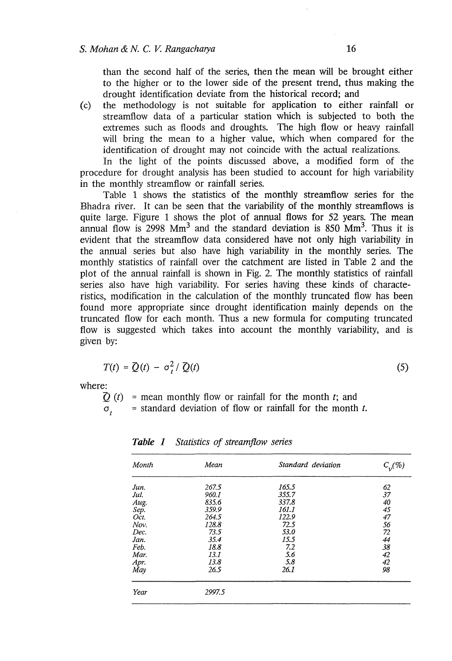than the second half of the series, then the mean will be brought either to the higher or to the lower side of the present trend, thus making the drought identification deviate from the historical record; and

(c) the methodology is not suitable for application to either rainfall or streamflow data of a particular station which is subjected to both the extremes such as floods and droughts. The high flow or heavy rainfall will bring the mean to a higher value, which when compared for the identification of drought may not coincide with the actual realizations.

In the light of the points discussed above, a modified form of the procedure for drought analysis has been studied to account for high variability in the monthly streamflow or rainfall series.

Table 1 shows the statistics of the monthly streamflow series for the Bhadra river. It can be seen that the variability of the monthly streamflows is quite large. Figure 1 shows the plot of annual flows for 52 years. The mean annual flow is 2998  $\text{Mm}^3$  and the standard deviation is 850  $\text{Mm}^3$ . Thus it is evident that the streamflow data considered have not only high variability in the annual series but also have high variability in the monthly series. The monthly statistics of rainfall over the catchment are listed in Table 2 and the plot of the annual rainfall is shown in Fig. 2. The monthly statistics of rainfall series also have high variability. For series having these kinds of characteristics, modification in the calculation of the monthly truncated flow has been found more appropriate since drought identification mainly depends on the truncated flow for each month. Thus a new formula for computing truncated flow is suggested which takes into account the monthly variability, and is given by:

$$
T(t) = \overline{Q}(t) - \sigma_t^2 / \overline{Q}(t) \tag{5}
$$

where:

 $\overline{Q}(t)$  = mean monthly flow or rainfall for the month *t*; and

*a(*  $=$  standard deviation of flow or rainfall for the month  $t$ .

| Month                | Mean   | Standard deviation | $C_v(\%)$ |  |
|----------------------|--------|--------------------|-----------|--|
| Jun.                 | 267.5  | 165.5              | 62        |  |
| Jul.                 | 960.1  | 355.7              | 37        |  |
|                      | 835.6  | 337.8              | 40        |  |
| Aug.<br>Sep.<br>Oct. | 359.9  | 161.1              | 45        |  |
|                      | 264.5  | 122.9              | 47        |  |
| Nov.                 | 128.8  | 72.5               | 56        |  |
| Dec.                 | 73.5   | 53.0               | 72        |  |
| Jan.                 | 35.4   | 15.5               | 44        |  |
| Feb.                 | 18.8   | 7.2                | 38        |  |
| Mar.                 | 13.1   | 5.6                | 42        |  |
| Apr.                 | 13.8   | 5.8                | 42        |  |
| May                  | 26.5   | 26.1               | 98        |  |
| Year                 | 2997.5 |                    |           |  |

*Table 1 Statistics of streamflow series*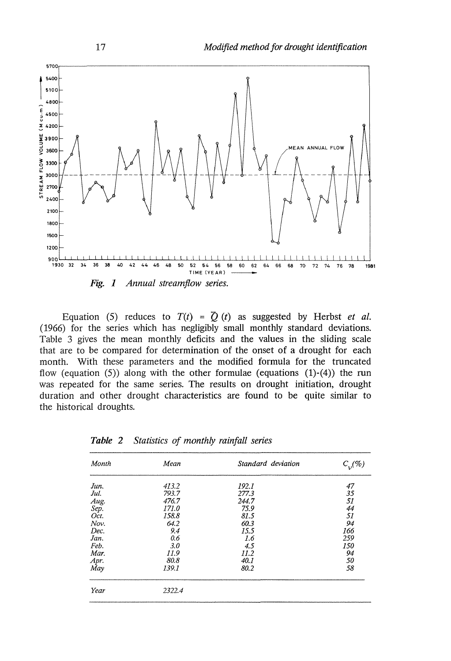

*Fig. 1 Annual streamflow series.* 

Equation (5) reduces to  $T(t) = \overline{O}(t)$  as suggested by Herbst *et al.* (1966) for the series which has negligibly small monthly standard deviations. Table 3 gives the mean monthly deficits and the values in the sliding scale that are to be compared for determination of the onset of a drought for each month. With these parameters and the modified formula for the truncated flow (equation  $(5)$ ) along with the other formulae (equations  $(1)-(4)$ ) the run was repeated for the same series. The results on drought initiation, drought duration and other drought characteristics are found to be quite similar to the historical droughts.

| Month        | Mean   | Standard deviation | $C_v(\%)$  |  |
|--------------|--------|--------------------|------------|--|
| Jun.         | 413.2  | 192.1              | 47         |  |
| Jul.         | 793.7  | 277.3              | 35         |  |
| Aug.<br>Sep. | 476.7  | 244.7              | 51         |  |
|              | 171.0  | 75.9               | 44         |  |
| Oct.         | 158.8  | 81.5               | 51         |  |
| Nov.         | 64.2   | 60.3               | 94         |  |
| Dec.         | 9.4    | 15.5               | 166        |  |
| Jan.         | 0.6    | 1.6                | 259        |  |
| Feb.         | 3.0    | 4.5                | <i>150</i> |  |
| Mar.         | 11.9   | 11.2               | 94         |  |
|              | 80.8   | 40.1               | 50         |  |
| Apr.<br>May  | 139.1  | 80.2               | 58         |  |
| Year         | 2322.4 |                    |            |  |

*Table 2 Statistics of monthly rainfall series*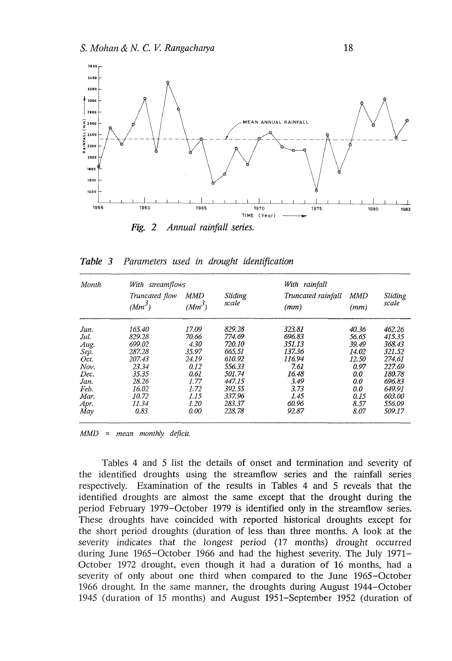

*Table 3 Parameters used in drought identification* 

| Month | With streamflows           |                        |                  | With rainfall              |                    |                  |
|-------|----------------------------|------------------------|------------------|----------------------------|--------------------|------------------|
|       | Truncated flow<br>$(Mm^3)$ | <i>MMD</i><br>$(Mm^3)$ | Sliding<br>scale | Truncated rainfall<br>(mm) | <b>MMD</b><br>(mm) | Sliding<br>scale |
|       |                            |                        |                  |                            |                    |                  |
| Jul.  | 829.28                     | 70.66                  | 774.69           | 696.83                     | 56.65              | 415.35           |
| Aug.  | 699.02                     | 4.30                   | 720.10           | 351.13                     | 39.49              | 368.43           |
| Sep.  | 287.28                     | 35.97                  | 665.51           | 137.36                     | 14.02              | 321.52           |
| Oct.  | 207.43                     | 24.19                  | 610.92           | 116.94                     | 12.50              | 274.61           |
| Nov.  | 23.34                      | 0.12                   | 556.33           | 7.61                       | 0.97               | 227.69           |
| Dec.  | 35.35                      | 0.61                   | 501.74           | 16.48                      | 0.0                | 180.78           |
| Jan.  | 28.26                      | 1.77                   | 447.15           | 3.49                       | 0.0                | 696.83           |
| Feb.  | 16.02                      | 1.72                   | 392.55           | 3.73                       | 0.0                | 649.91           |
| Mar.  | 10.72                      | 1.15                   | 337.96           | 1.45                       | 0.15               | 603.00           |
| Apr.  | 11.34                      | 1.20                   | 283.37           | 60.96                      | 8.57               | 556.09           |
| May   | 0.83                       | 0.00                   | 228.78           | 92.87                      | 8.07               | 509.17           |

*MMD = mean monthly deficit.* 

Tables 4 and 5 list the details of onset and termination and severity of the identified droughts using the streamflow series and the rainfall series respectively. Examination of the results in Tables 4 and 5 reveals that the identified droughts are almost the same except that the drought during the period February 1979-October 1979 is identified only in the streamflow series. These droughts have coincided with reported historical droughts except for the short period droughts (duration of less than three months. A look at the severity indicates that the longest period (17 months) drought occurred during June 1965-October 1966 and had the highest severity. The July 1971- October 1972 drought, even though it had a duration of 16 months, had a severity of only about one third when compared to the June 1965-October 1966 drought. In the same manner, the droughts during August 1944-October 1945 (duration of 15 months) and August 1951-September 1952 (duration of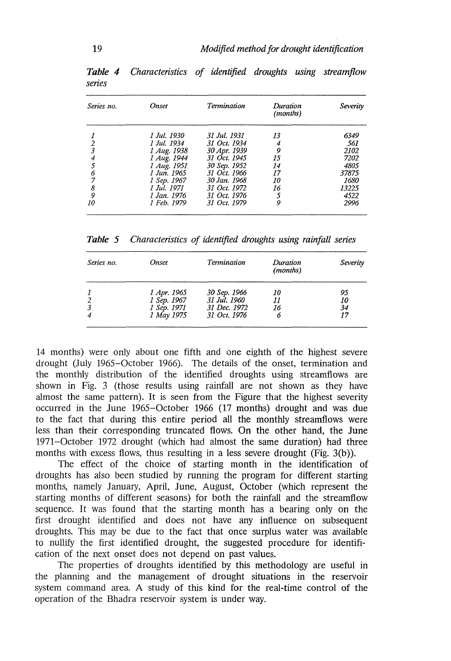| Series no.     | Onset       | Termination  | Duration<br>(months) | <b>Severity</b> |
|----------------|-------------|--------------|----------------------|-----------------|
|                | 1 Jul. 1930 | 31 Jul. 1931 | 13                   | 6349            |
|                | 1 Jul. 1934 | 31 Oct. 1934 | 4                    | 561             |
| $\overline{3}$ | 1 Aug. 1938 | 30 Apr. 1939 | 9                    | 2102            |
|                | 1 Aug. 1944 | 31 Oct. 1945 | 15                   | 7202            |
|                | 1 Aug. 1951 | 30 Sep. 1952 | 14                   | 4805            |
| 6              | 1 Jun. 1965 | 31 Oct. 1966 | 17                   | 37875           |
|                | 1 Sep. 1967 | 30 Jan. 1968 | 10                   | 1680            |
| 8              | 1 Jul. 1971 | 31 Oct. 1972 | 16                   | 13225           |
| 9              | 1 Jan. 1976 | 31 Oct. 1976 |                      | 4522            |
| 10             | 1 Feb. 1979 | 31 Oct. 1979 |                      | 2996            |

*Table 4 Characteristics of identified droughts using streamflow series* 

*Table 5 Characteristics of identified droughts using rainfall series* 

| Series no. | Onset       | Termination  | Duration<br>(months) | Severity  |
|------------|-------------|--------------|----------------------|-----------|
|            | 1 Apr. 1965 | 30 Sep. 1966 | 10                   | 95        |
|            | 1 Sep. 1967 | 31 Jul. 1960 | 11                   | <i>10</i> |
|            | 1 Sep. 1971 | 31 Dec. 1972 | 16                   | 34        |
|            | 1 May 1975  | 31 Oct. 1976 |                      | 17        |

14 months) were only about one fifth and one eighth of the highest severe drought (July 1965-October 1966). The details of the onset, termination and the monthly distribution of the identified droughts using streamflows are shown in Fig. 3 (those results using rainfall are not shown as they have almost the same pattern). It is seen from the Figure that the highest severity occurred in the June 1965-October 1966 (17 months) drought and was due to the fact that during this entire period all the monthly streamflows were less than their corresponding truncated flows. On the other hand, the June 1971-October 1972 drought (which had almost the same duration) had three months with excess flows, thus resulting in a less severe drought (Fig. 3(b)).

The effect of the choice of starting month in the identification of droughts has also been studied by running the program for different starting months, namely January, April, June, August, October (which represent the starting months of different seasons) for both the rainfall and the streamflow sequence. It was found that the starting month has a bearing only on the first drought identified and does not have any influence on subsequent droughts. This may be due to the fact that once surplus water was available to nullify the first identified drought, the suggested procedure for identification of the next onset does not depend on past values.

The properties of droughts identified by this methodology are useful in the planning and the management of drought situations in the reservoir system command area. A study of this kind for the real-time control of the operation of the Bhadra reservoir system is under way.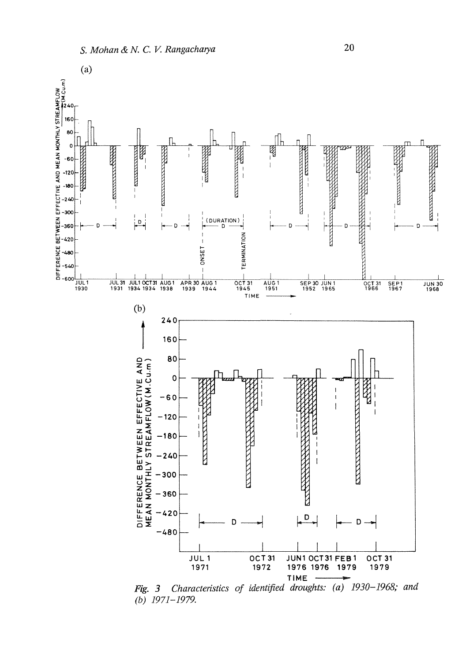

*Fig. 3 Characteristics of identified droughts: (a) 1930-1968; and (b) 1971-1979.*